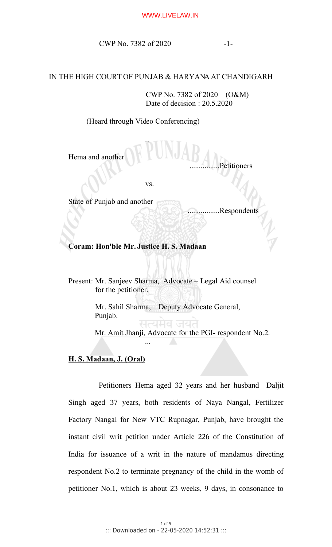CWP No. 7382 of 2020 -1-

## IN THE HIGH COURT OF PUNJAB & HARYANA AT CHANDIGARH

 CWP No. 7382 of 2020 (O&M) Date of decision : 20.5.2020

(Heard through Video Conferencing)

...

Hema and another

vs.

State of Punjab and another

.................Respondents

..Petitioners

## **Coram: Hon'ble Mr. Justice H. S. Madaan**

Present: Mr. Sanjeev Sharma, Advocate – Legal Aid counsel for the petitioner.

> Mr. Sahil Sharma, Deputy Advocate General, Punjab.

> > मत्यमव जयत

Mr. Amit Jhanji, Advocate for the PGI- respondent No.2.

## **H. S. Madaan, J. (Oral)**

...

Petitioners Hema aged 32 years and her husband Daljit Singh aged 37 years, both residents of Naya Nangal, Fertilizer Factory Nangal for New VTC Rupnagar, Punjab, have brought the instant civil writ petition under Article 226 of the Constitution of India for issuance of a writ in the nature of mandamus directing respondent No.2 to terminate pregnancy of the child in the womb of petitioner No.1, which is about 23 weeks, 9 days, in consonance to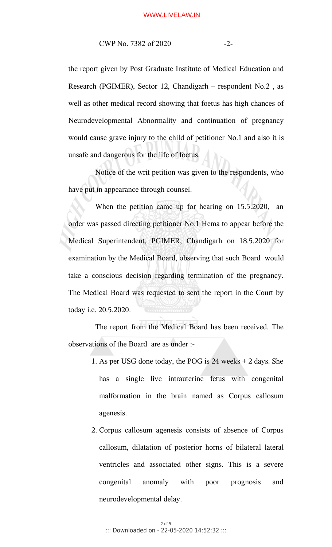CWP No. 7382 of 2020 -2-

the report given by Post Graduate Institute of Medical Education and Research (PGIMER), Sector 12, Chandigarh – respondent No.2 , as well as other medical record showing that foetus has high chances of Neurodevelopmental Abnormality and continuation of pregnancy would cause grave injury to the child of petitioner No.1 and also it is unsafe and dangerous for the life of foetus.

Notice of the writ petition was given to the respondents, who have put in appearance through counsel.

When the petition came up for hearing on 15.5.2020, an order was passed directing petitioner No.1 Hema to appear before the Medical Superintendent, PGIMER, Chandigarh on 18.5.2020 for examination by the Medical Board, observing that such Board would take a conscious decision regarding termination of the pregnancy. The Medical Board was requested to sent the report in the Court by today i.e. 20.5.2020.

The report from the Medical Board has been received. The observations of the Board are as under :-

- 1. As per USG done today, the POG is 24 weeks + 2 days. She has a single live intrauterine fetus with congenital malformation in the brain named as Corpus callosum agenesis.
- 2. Corpus callosum agenesis consists of absence of Corpus callosum, dilatation of posterior horns of bilateral lateral ventricles and associated other signs. This is a severe congenital anomaly with poor prognosis and neurodevelopmental delay.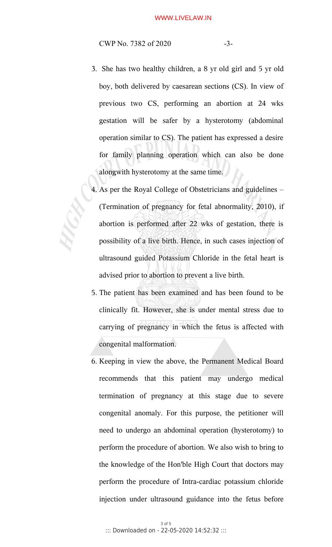CWP No. 7382 of 2020 -3-

- 3. She has two healthy children, a 8 yr old girl and 5 yr old boy, both delivered by caesarean sections (CS). In view of previous two CS, performing an abortion at 24 wks gestation will be safer by a hysterotomy (abdominal operation similar to CS). The patient has expressed a desire for family planning operation which can also be done alongwith hysterotomy at the same time.
- 4. As per the Royal College of Obstetricians and guidelines (Termination of pregnancy for fetal abnormality, 2010), if abortion is performed after 22 wks of gestation, there is possibility of a live birth. Hence, in such cases injection of ultrasound guided Potassium Chloride in the fetal heart is advised prior to abortion to prevent a live birth.
- 5. The patient has been examined and has been found to be clinically fit. However, she is under mental stress due to carrying of pregnancy in which the fetus is affected with congenital malformation.
- 6. Keeping in view the above, the Permanent Medical Board recommends that this patient may undergo medical termination of pregnancy at this stage due to severe congenital anomaly. For this purpose, the petitioner will need to undergo an abdominal operation (hysterotomy) to perform the procedure of abortion. We also wish to bring to the knowledge of the Hon'ble High Court that doctors may perform the procedure of Intra-cardiac potassium chloride injection under ultrasound guidance into the fetus before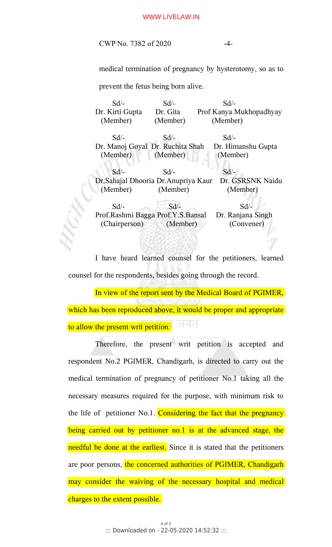## WWW.LIVELAW.IN

CWP No. 7382 of 2020 -4-

medical termination of pregnancy by hysterotomy, so as to

prevent the fetus being born alive.

 Sd/- Sd/- Sd/- Dr. Kirti Gupta Dr. Gita Prof Kanya Mukhopadhyay (Member) (Member) (Member)  $Sd$  -  $Sd$  -  $Sd$  -  $Sd$  -Dr. Manoj Goyal Dr. Ruchita Shah Dr. Himanshu Gupta (Member) (Member) (Member) Sd/- Sd/- Sd/- Dr.Sahajal Dhooria Dr.Anupriya Kaur Dr. GSRSNK Naidu (Member) (Member) (Member)  $Sd$   $\sim$   $Sd$   $\sim$   $Sd$   $\sim$ Prof.Rashmi Bagga Prof.Y.S.Bansal Dr. Ranjana Singh (Chairperson) (Member) (Convener)

I have heard learned counsel for the petitioners, learned counsel for the respondents, besides going through the record.

In view of the report sent by the Medical Board of PGIMER, which has been reproduced above, it would be proper and appropriate जयत to allow the present writ petition.

Therefore, the present writ petition is accepted and respondent No.2 PGIMER, Chandigarh, is directed to carry out the medical termination of pregnancy of petitioner No.1 taking all the necessary measures required for the purpose, with minimum risk to the life of petitioner No.1. Considering the fact that the pregnancy being carried out by petitioner no.1 is at the advanced stage, the needful be done at the earliest. Since it is stated that the petitioners are poor persons, the concerned authorities of PGIMER, Chandigarh may consider the waiving of the necessary hospital and medical charges to the extent possible.